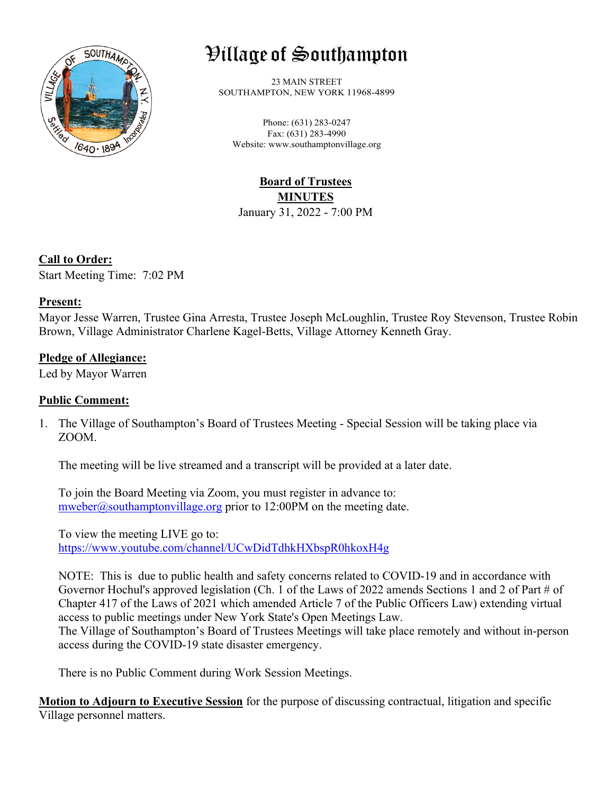

# Village of Southampton

23 MAIN STREET SOUTHAMPTON, NEW YORK 11968-4899

Phone: (631) 283-0247 Fax: (631) 283-4990 Website: www.southamptonvillage.org

**Board of Trustees MINUTES** January 31, 2022 - 7:00 PM

**Call to Order:** Start Meeting Time: 7:02 PM

## **Present:**

Mayor Jesse Warren, Trustee Gina Arresta, Trustee Joseph McLoughlin, Trustee Roy Stevenson, Trustee Robin Brown, Village Administrator Charlene Kagel-Betts, Village Attorney Kenneth Gray.

## **Pledge of Allegiance:**

Led by Mayor Warren

## **Public Comment:**

1. The Village of Southampton's Board of Trustees Meeting - Special Session will be taking place via ZOOM.

The meeting will be live streamed and a transcript will be provided at a later date.

To join the Board Meeting via Zoom, you must register in advance to:  $mweber@southampton village.org prior to 12:00PM on the meeting date.$ 

To view the meeting LIVE go to: <https://www.youtube.com/channel/UCwDidTdhkHXbspR0hkoxH4g>

NOTE: This is due to public health and safety concerns related to COVID-19 and in accordance with Governor Hochul's approved legislation (Ch. 1 of the Laws of 2022 amends Sections 1 and 2 of Part # of Chapter 417 of the Laws of 2021 which amended Article 7 of the Public Officers Law) extending virtual access to public meetings under New York State's Open Meetings Law.

The Village of Southampton's Board of Trustees Meetings will take place remotely and without in-person access during the COVID-19 state disaster emergency.

There is no Public Comment during Work Session Meetings.

**Motion to Adjourn to Executive Session** for the purpose of discussing contractual, litigation and specific Village personnel matters.